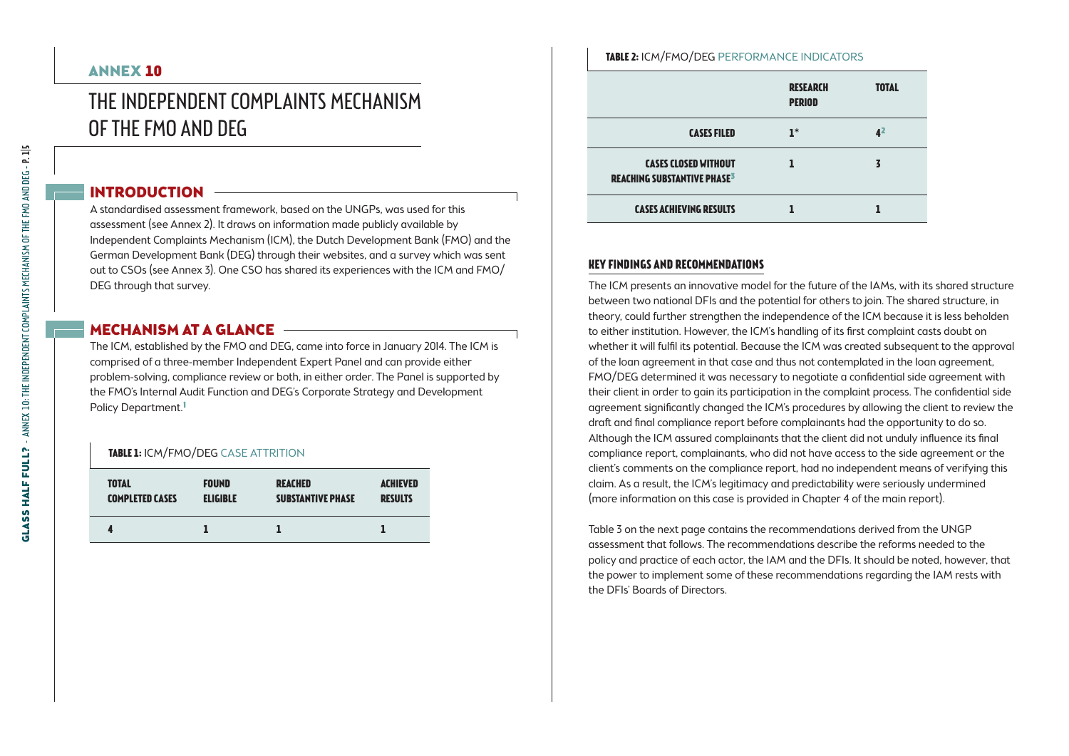# ANNEX 10

# The Independent Complaints Mechanism of the FMO and DEG

# INTRODUCTION

A standardised assessment framework, based on the UNGPs, was used for this assessment (see Annex 2). It draws on information made publicly available by Independent Complaints Mechanism (ICM), the Dutch Development Bank (FMO) and the German Development Bank (DEG) through their websites, and a survey which was sent out to CSOs (see Annex 3). One CSO has shared its experiences with the ICM and FMO/ DEG through that survey.

### MECHANISM AT A GLANCE -

The ICM, established by the FMO and DEG, came into force in January 2014. The ICM is comprised of a three-member Independent Expert Panel and can provide either problem-solving, compliance review or both, in either order. The Panel is supported by the FMO's Internal Audit Function and DEG's Corporate Strategy and Development Policy Department.<sup>1</sup>

#### **TABLE 1: ICM/FMO/DEG CASE ATTRITION**

| <b>TOTAL</b>           | <b>FOUND</b>    | <b>REACHED</b>           | <b>ACHIEVED</b> |
|------------------------|-----------------|--------------------------|-----------------|
| <b>COMPLETED CASES</b> | <b>ELIGIBLE</b> | <b>SUBSTANTIVE PHASE</b> | <b>RESULTS</b>  |
|                        |                 |                          |                 |

#### **Table 2:** ICM/FMO/DEG Performance indicators

|                                                                              | <b>RESEARCH</b><br><b>PERIOD</b> | <b>TOTAL</b> |
|------------------------------------------------------------------------------|----------------------------------|--------------|
| <b>CASES FILED</b>                                                           | $1*$                             | Æ            |
| <b>CASES CLOSED WITHOUT</b><br><b>REACHING SUBSTANTIVE PHASE<sup>3</sup></b> |                                  |              |
| <b>CASES ACHIEVING RESULTS</b>                                               |                                  |              |

# **Key findings and recommendations**

The ICM presents an innovative model for the future of the IAMs, with its shared structure between two national DFIs and the potential for others to join. The shared structure, in theory, could further strengthen the independence of the ICM because it is less beholden to either institution. However, the ICM's handling of its first complaint casts doubt on whether it will fulfil its potential. Because the ICM was created subsequent to the approval of the loan agreement in that case and thus not contemplated in the loan agreement, FMO/DEG determined it was necessary to negotiate a confidential side agreement with their client in order to gain its participation in the complaint process. The confidential side agreement significantly changed the ICM's procedures by allowing the client to review the draft and final compliance report before complainants had the opportunity to do so. Although the ICM assured complainants that the client did not unduly influence its final compliance report, complainants, who did not have access to the side agreement or the client's comments on the compliance report, had no independent means of verifying this claim. As a result, the ICM's legitimacy and predictability were seriously undermined (more information on this case is provided in Chapter 4 of the main report).

Table 3 on the next page contains the recommendations derived from the UNGP assessment that follows. The recommendations describe the reforms needed to the policy and practice of each actor, the IAM and the DFIs. It should be noted, however, that the power to implement some of these recommendations regarding the IAM rests with the DFIs' Boards of Directors.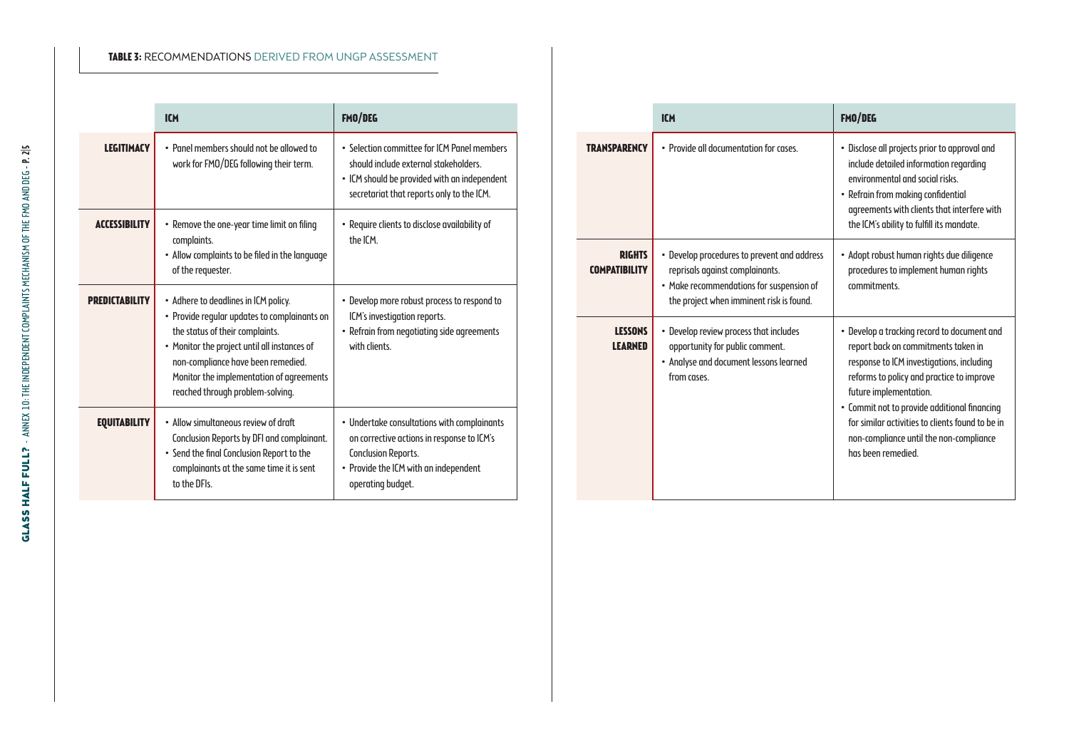#### **Table 3:** Recommendations derived from UNGP assessment

|                       | <b>ICM</b>                                                                                                                                                                                                                                                                                    | FMO/DEG                                                                                                                                                                               |
|-----------------------|-----------------------------------------------------------------------------------------------------------------------------------------------------------------------------------------------------------------------------------------------------------------------------------------------|---------------------------------------------------------------------------------------------------------------------------------------------------------------------------------------|
| <b>LEGITIMACY</b>     | . Panel members should not be allowed to<br>work for FMO/DEG following their term.                                                                                                                                                                                                            | • Selection committee for ICM Panel members<br>should include external stakeholders.<br>• ICM should be provided with an independent<br>secretariat that reports only to the ICM.     |
| <b>ACCESSIBILITY</b>  | • Remove the one-year time limit on filing<br>complaints.<br>• Allow complaints to be filed in the language<br>of the requester.                                                                                                                                                              | · Require clients to disclose availability of<br>the ICM.                                                                                                                             |
| <b>PREDICTABILITY</b> | • Adhere to deadlines in ICM policy.<br>• Provide regular updates to complainants on<br>the status of their complaints.<br>• Monitor the project until all instances of<br>non-compliance have been remedied.<br>Monitor the implementation of agreements<br>reached through problem-solving. | • Develop more robust process to respond to<br>ICM's investigation reports.<br>• Refrain from negotiating side agreements<br>with clients.                                            |
| <b>EQUITABILITY</b>   | . Allow simultaneous review of draft<br>Conclusion Reports by DFI and complainant.<br>• Send the final Conclusion Report to the<br>complainants at the same time it is sent<br>to the DFIs.                                                                                                   | • Undertake consultations with complainants<br>on corrective actions in response to ICM's<br><b>Conclusion Reports.</b><br>• Provide the ICM with an independent<br>operating budget. |

|                                       | <b>ICM</b>                                                                                                                                                             | FMO/DEG                                                                                                                                                                                                                                                                                                                                                                     |
|---------------------------------------|------------------------------------------------------------------------------------------------------------------------------------------------------------------------|-----------------------------------------------------------------------------------------------------------------------------------------------------------------------------------------------------------------------------------------------------------------------------------------------------------------------------------------------------------------------------|
| <b>TRANSPARENCY</b>                   | . Provide all documentation for cases                                                                                                                                  | · Disclose all projects prior to approval and<br>include detailed information regarding<br>environmental and social risks.<br>• Refrain from making confidential<br>agreements with clients that interfere with<br>the ICM's ability to fulfill its mandate.                                                                                                                |
| <b>RIGHTS</b><br><b>COMPATIBILITY</b> | • Develop procedures to prevent and address<br>reprisals against complainants.<br>• Make recommendations for suspension of<br>the project when imminent risk is found. | • Adopt robust human rights due diligence<br>procedures to implement human rights<br>commitments.                                                                                                                                                                                                                                                                           |
| <b>LESSONS</b><br><b>LEARNED</b>      | • Develop review process that includes<br>opportunity for public comment.<br>• Analyse and document lessons learned<br>from cases.                                     | • Develop a tracking record to document and<br>report back on commitments taken in<br>response to ICM investigations, including<br>reforms to policy and practice to improve<br>future implementation.<br>• Commit not to provide additional financing<br>for similar activities to clients found to be in<br>non-compliance until the non-compliance<br>has been remedied. |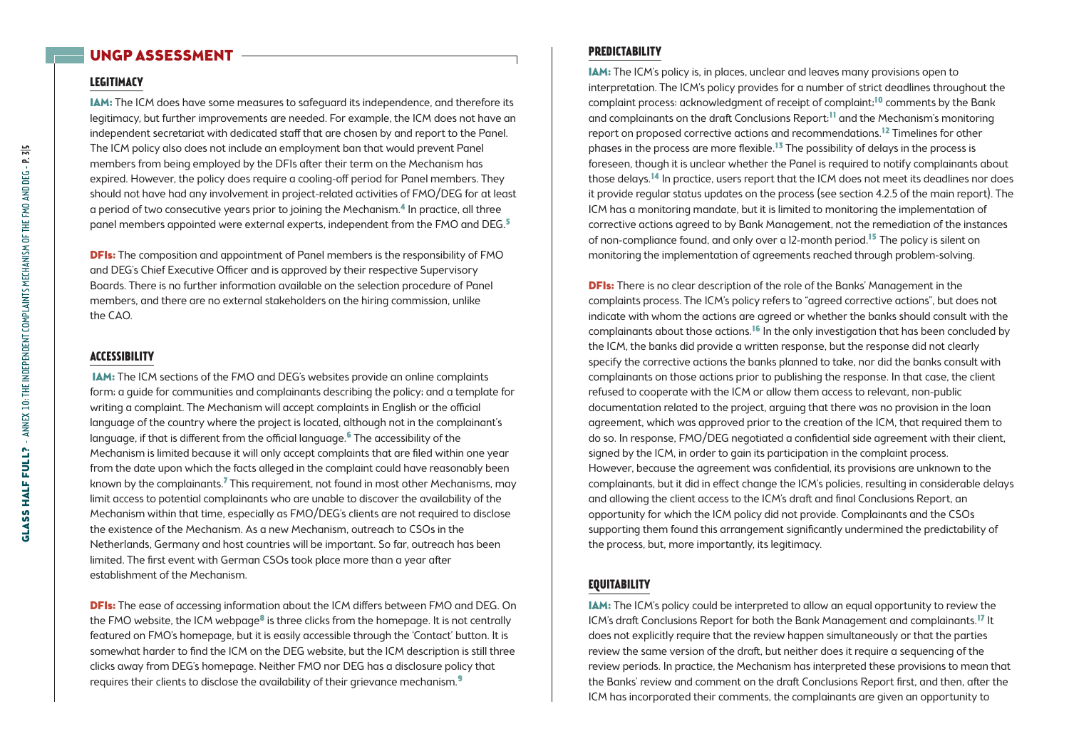# UNGP Assessment

# **Legitimacy**

IAM: The ICM does have some measures to safeguard its independence, and therefore its legitimacy, but further improvements are needed. For example, the ICM does not have an independent secretariat with dedicated staff that are chosen by and report to the Panel. The ICM policy also does not include an employment ban that would prevent Panel members from being employed by the DFIs after their term on the Mechanism has expired. However, the policy does require a cooling-off period for Panel members. They should not have had any involvement in project-related activities of FMO/DEG for at least a period of two consecutive years prior to joining the Mechanism.4 In practice, all three panel members appointed were external experts, independent from the FMO and DEG.<sup>5</sup>

**DFIs:** The composition and appointment of Panel members is the responsibility of FMO and DEG's Chief Executive Officer and is approved by their respective Supervisory Boards. There is no further information available on the selection procedure of Panel members, and there are no external stakeholders on the hiring commission, unlike the CAO.

#### **Accessibility**

IAM: The ICM sections of the FMO and DEG's websites provide an online complaints form; a guide for communities and complainants describing the policy; and a template for writing a complaint. The Mechanism will accept complaints in English or the official language of the country where the project is located, although not in the complainant's language, if that is different from the official language.<sup>6</sup> The accessibility of the Mechanism is limited because it will only accept complaints that are filed within one year from the date upon which the facts alleged in the complaint could have reasonably been known by the complainants.7 This requirement, not found in most other Mechanisms, may limit access to potential complainants who are unable to discover the availability of the Mechanism within that time, especially as FMO/DEG's clients are not required to disclose the existence of the Mechanism. As a new Mechanism, outreach to CSOs in the Netherlands, Germany and host countries will be important. So far, outreach has been limited. The first event with German CSOs took place more than a year after establishment of the Mechanism.

**DFIs:** The ease of accessing information about the ICM differs between FMO and DEG. On the FMO website, the ICM webpage<sup>8</sup> is three clicks from the homepage. It is not centrally featured on FMO's homepage, but it is easily accessible through the 'Contact' button. It is somewhat harder to find the ICM on the DEG website, but the ICM description is still three clicks away from DEG's homepage. Neither FMO nor DEG has a disclosure policy that requires their clients to disclose the availability of their grievance mechanism.<sup>9</sup>

#### **Predictability**

IAM: The ICM's policy is, in places, unclear and leaves many provisions open to interpretation. The ICM's policy provides for a number of strict deadlines throughout the complaint process: acknowledgment of receipt of complaint;10 comments by the Bank and complainants on the draft Conclusions Report;<sup>11</sup> and the Mechanism's monitoring report on proposed corrective actions and recommendations.12 Timelines for other phases in the process are more flexible.13 The possibility of delays in the process is foreseen, though it is unclear whether the Panel is required to notify complainants about those delays.14 In practice, users report that the ICM does not meet its deadlines nor does it provide regular status updates on the process (see section 4.2.5 of the main report). The ICM has a monitoring mandate, but it is limited to monitoring the implementation of corrective actions agreed to by Bank Management, not the remediation of the instances of non-compliance found, and only over a 12-month period.15 The policy is silent on monitoring the implementation of agreements reached through problem-solving.

**DFIs:** There is no clear description of the role of the Banks' Management in the complaints process. The ICM's policy refers to "agreed corrective actions", but does not indicate with whom the actions are agreed or whether the banks should consult with the complainants about those actions.<sup>16</sup> In the only investigation that has been concluded by the ICM, the banks did provide a written response, but the response did not clearly specify the corrective actions the banks planned to take, nor did the banks consult with complainants on those actions prior to publishing the response. In that case, the client refused to cooperate with the ICM or allow them access to relevant, non-public documentation related to the project, arguing that there was no provision in the loan agreement, which was approved prior to the creation of the ICM, that required them to do so. In response, FMO/DEG negotiated a confidential side agreement with their client, signed by the ICM, in order to gain its participation in the complaint process. However, because the agreement was confidential, its provisions are unknown to the complainants, but it did in effect change the ICM's policies, resulting in considerable delays and allowing the client access to the ICM's draft and final Conclusions Report, an opportunity for which the ICM policy did not provide. Complainants and the CSOs supporting them found this arrangement significantly undermined the predictability of the process, but, more importantly, its legitimacy.

#### **Equitability**

IAM: The ICM's policy could be interpreted to allow an equal opportunity to review the ICM's draft Conclusions Report for both the Bank Management and complainants.17 It does not explicitly require that the review happen simultaneously or that the parties review the same version of the draft, but neither does it require a sequencing of the review periods. In practice, the Mechanism has interpreted these provisions to mean that the Banks' review and comment on the draft Conclusions Report first, and then, after the ICM has incorporated their comments, the complainants are given an opportunity to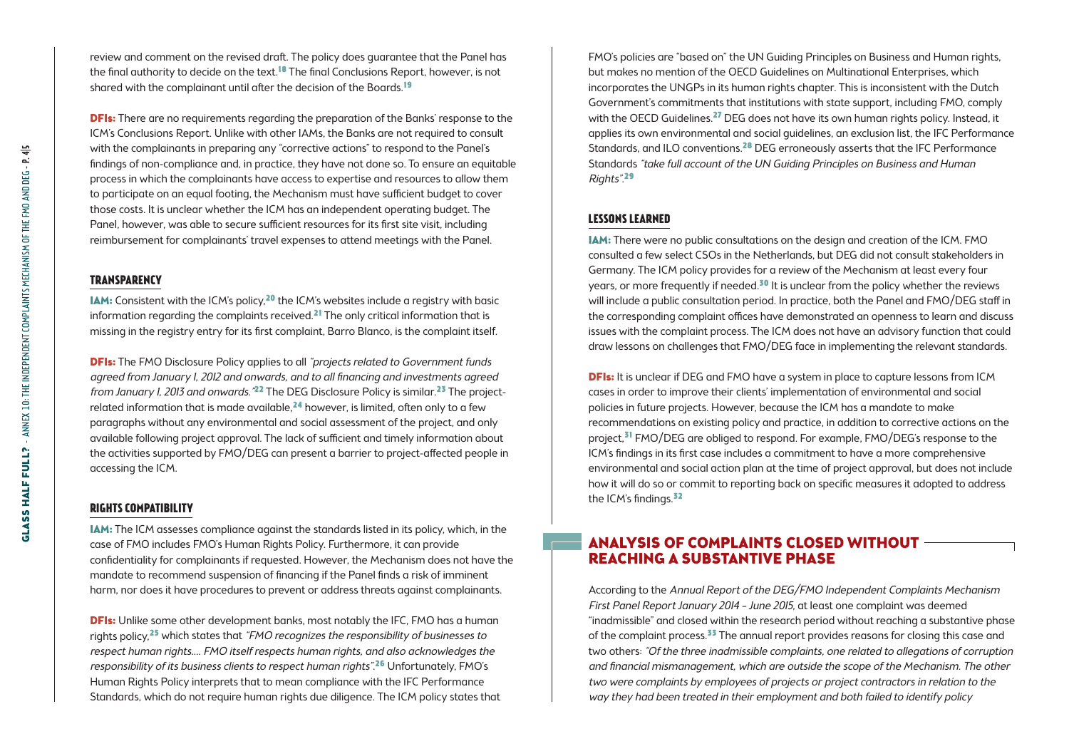review and comment on the revised draft. The policy does guarantee that the Panel has the final authority to decide on the text.<sup>18</sup> The final Conclusions Report, however, is not shared with the complainant until after the decision of the Boards.<sup>19</sup>

**DFIs:** There are no requirements regarding the preparation of the Banks' response to the ICM's Conclusions Report. Unlike with other IAMs, the Banks are not required to consult with the complainants in preparing any "corrective actions" to respond to the Panel's findings of non-compliance and, in practice, they have not done so. To ensure an equitable process in which the complainants have access to expertise and resources to allow them to participate on an equal footing, the Mechanism must have sufficient budget to cover those costs. It is unclear whether the ICM has an independent operating budget. The Panel, however, was able to secure sufficient resources for its first site visit, including reimbursement for complainants' travel expenses to attend meetings with the Panel.

#### **Transparency**

IAM: Consistent with the ICM's policy,20 the ICM's websites include a registry with basic information regarding the complaints received.21 The only critical information that is missing in the registry entry for its first complaint, Barro Blanco, is the complaint itself.

**DFIs:** The FMO Disclosure Policy applies to all "projects related to Government funds" agreed from January 1, 2012 and onwards, and to all financing and investments agreed from January I, 2013 and onwards.<sup>"22</sup> The DEG Disclosure Policy is similar.<sup>23</sup> The projectrelated information that is made available, $24$  however, is limited, often only to a few paragraphs without any environmental and social assessment of the project, and only available following project approval. The lack of sufficient and timely information about the activities supported by FMO/DEG can present a barrier to project-affected people in accessing the ICM.

#### **Rights compatibility**

IAM: The ICM assesses compliance against the standards listed in its policy, which, in the case of FMO includes FMO's Human Rights Policy. Furthermore, it can provide confidentiality for complainants if requested. However, the Mechanism does not have the mandate to recommend suspension of financing if the Panel finds a risk of imminent harm, nor does it have procedures to prevent or address threats against complainants.

**DFIs:** Unlike some other development banks, most notably the IFC, FMO has a human rights policy.<sup>25</sup> which states that "FMO recognizes the responsibility of businesses to respect human rights…. FMO itself respects human rights, and also acknowledges the responsibility of its business clients to respect human rights".<sup>26</sup> Unfortungtely, FMO's Human Rights Policy interprets that to mean compliance with the IFC Performance Standards, which do not require human rights due diligence. The ICM policy states that FMO's policies are "based on" the UN Guiding Principles on Business and Human rights, but makes no mention of the OECD Guidelines on Multinational Enterprises, which incorporates the UNGPs in its human rights chapter. This is inconsistent with the Dutch Government's commitments that institutions with state support, including FMO, comply with the OECD Guidelines.<sup>27</sup> DEG does not have its own human rights policy. Instead, it applies its own environmental and social guidelines, an exclusion list, the IFC Performance Standards, and ILO conventions.28 DEG erroneously asserts that the IFC Performance Standards "take full account of the UN Guiding Principles on Business and Human Rights".29

#### **Lessons learned**

IAM: There were no public consultations on the design and creation of the ICM. FMO consulted a few select CSOs in the Netherlands, but DEG did not consult stakeholders in Germany. The ICM policy provides for a review of the Mechanism at least every four years, or more frequently if needed.<sup>30</sup> It is unclear from the policy whether the reviews will include a public consultation period. In practice, both the Panel and FMO/DEG staff in the corresponding complaint offices have demonstrated an openness to learn and discuss issues with the complaint process. The ICM does not have an advisory function that could draw lessons on challenges that FMO/DEG face in implementing the relevant standards.

**DFIs:** It is unclear if DEG and FMO have a system in place to capture lessons from ICM cases in order to improve their clients' implementation of environmental and social policies in future projects. However, because the ICM has a mandate to make recommendations on existing policy and practice, in addition to corrective actions on the project,<sup>31</sup> FMO/DEG are obliged to respond. For example, FMO/DEG's response to the ICM's findings in its first case includes a commitment to have a more comprehensive environmental and social action plan at the time of project approval, but does not include how it will do so or commit to reporting back on specific measures it adopted to address the ICM's findings.<sup>32</sup>

### Analysis of Complaints Closed without Reaching a Substantive Phase

According to the Annual Report of the DEG/FMO Independent Complaints Mechanism First Panel Report January 2014 – June 2015, at least one complaint was deemed "inadmissible" and closed within the research period without reaching a substantive phase of the complaint process.33 The annual report provides reasons for closing this case and two others: "Of the three inadmissible complaints, one related to allegations of corruption and financial mismanagement, which are outside the scope of the Mechanism. The other two were complaints by employees of projects or project contractors in relation to the way they had been treated in their employment and both failed to identify policy